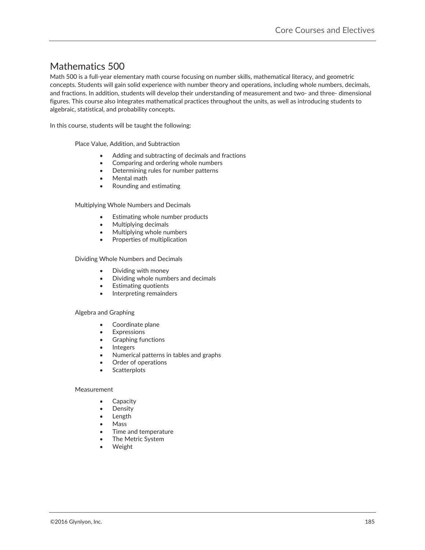# Mathematics 500-

Math 500 is a full-year elementary math course focusing on number skills, mathematical literacy, and geometric concepts. Students will gain solid experience with number theory and operations, including whole numbers, decimals, and fractions. In addition, students will develop their understanding of measurement and two- and three- dimensional figures. This course also integrates mathematical practices throughout the units, as well as introducing students to algebraic, statistical, and probability concepts.

In this course, students will be taught the following:

Place Value, Addition, and Subtraction

- Adding and subtracting of decimals and fractions
- Comparing and ordering whole numbers
- Determining rules for number patterns
- Mental math
- x Rounding and estimating

Multiplying Whole Numbers and Decimals

- Estimating whole number products
- $\bullet$  Multiplying decimals
- Multiplying whole numbers
- Properties of multiplication

Dividing Whole Numbers and Decimals

- Dividing with money
- Dividing whole numbers and decimals
- Estimating quotients
- Interpreting remainders

#### Algebra and Graphing

- Coordinate plane
- **Expressions**
- Graphing functions
- **Integers**
- Numerical patterns in tables and graphs
- Order of operations
- **Scatterplots**

#### Measurement

- Capacity
- Density
- Length
- **Mass**
- Time and temperature
- The Metric System
- Weight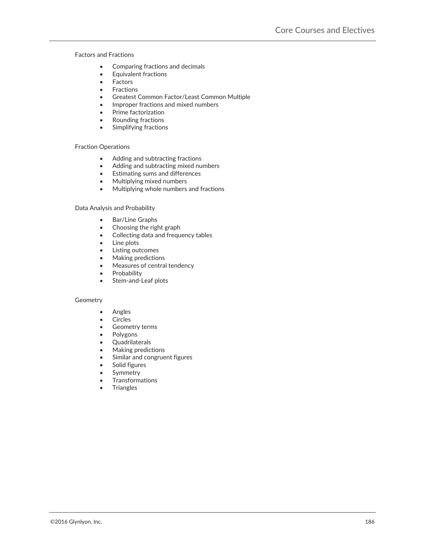#### Factors and Fractions

- Comparing fractions and decimals
- Equivalent fractions
- $\bullet$  Factors
- **Fractions**
- Greatest Common Factor/Least Common Multiple
- Improper fractions and mixed numbers
- Prime factorization
- x Rounding fractions
- $\bullet$  Simplifying fractions

#### Fraction Operations

- Adding and subtracting fractions
- Adding and subtracting mixed numbers
- Estimating sums and differences
- Multiplying mixed numbers
- Multiplying whole numbers and fractions

#### Data Analysis and Probability

- Bar/Line Graphs
- $\bullet$  Choosing the right graph
- Collecting data and frequency tables
- $\bullet$  Line plots
- Listing outcomes
- Making predictions
- Measures of central tendency
- **Probability**
- Stem-and-Leaf plots

#### Geometry

- Angles
- Circles
- Geometry terms
- Polygons
- Quadrilaterals
- Making predictions
- Similar and congruent figures
- Solid figures
- Symmetry
- **Transformations**
- **Triangles**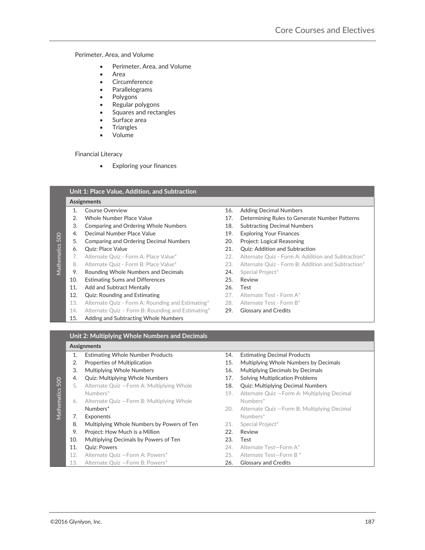#### Perimeter, Area, and Volume

- Perimeter, Area, and Volume
- **Area**
- **Circumference**
- **Parallelograms**
- Polygons
- Regular polygons
- Squares and rectangles
- Surface area
- **Triangles**
- **Volume**

#### Financial Literacy

• Exploring your finances

|                 | Assignments |                                                   |     |                                                    |  |
|-----------------|-------------|---------------------------------------------------|-----|----------------------------------------------------|--|
|                 | 1.          | Course Overview                                   | 16. | <b>Adding Decimal Numbers</b>                      |  |
|                 | 2.          | Whole Number Place Value                          | 17. | Determining Rules to Generate Number Patterns      |  |
|                 | 3.          | <b>Comparing and Ordering Whole Numbers</b>       | 18. | <b>Subtracting Decimal Numbers</b>                 |  |
|                 | 4.          | Decimal Number Place Value                        | 19. | <b>Exploring Your Finances</b>                     |  |
|                 | 5.          | <b>Comparing and Ordering Decimal Numbers</b>     | 20. | Project: Logical Reasoning                         |  |
| Mathematics 500 | 6.          | Quiz: Place Value                                 | 21. | <b>Quiz: Addition and Subtraction</b>              |  |
|                 | 7.          | Alternate Quiz - Form A: Place Value*             | 22. | Alternate Quiz - Form A: Addition and Subtraction* |  |
|                 | 8.          | Alternate Quiz - Form B: Place Value*             | 23. | Alternate Quiz - Form B: Addition and Subtraction* |  |
|                 | 9.          | Rounding Whole Numbers and Decimals               | 24. | Special Project*                                   |  |
|                 | 10.         | <b>Estimating Sums and Differences</b>            | 25. | Review                                             |  |
|                 | 11.         | Add and Subtract Mentally                         | 26. | Test                                               |  |
|                 | 12.         | <b>Quiz: Rounding and Estimating</b>              | 27. | Alternate Test - Form A*                           |  |
|                 | 13.         | Alternate Quiz - Form A: Rounding and Estimating* | 28. | Alternate Test - Form B*                           |  |
|                 | 14.         | Alternate Quiz – Form B: Rounding and Estimating* | 29. | <b>Glossary and Credits</b>                        |  |
|                 | 15.         | Adding and Subtracting Whole Numbers              |     |                                                    |  |

#### **Assignments-**

Mathematics 500

Mathematics 500

- 1. Estimating Whole Number Products 14. Estimating Decimal Products 2. Properties of Multiplication 15. Multiplying Whole Numbers by Decimals 3. Multiplying Whole Numbers 16. Multiplying Decimals by Decimals 4. Quiz: Multiplying Whole Numbers 17. Solving Multiplication Problems 5. Alternate Quiz —Form A: Multiplying Whole-6. Alternate Quiz —Form B: Multiplying Whole-**7. Exponents** Numbers<sup>\*</sup> 8. Multiplying Whole Numbers by Powers of Ten-9. Project: How Much is a Million 22. Review 10. Multiplying Decimals by Powers of Ten 23. Test 11. Quiz: Powers 24. Alternate Test—Form A\* 12. Alternate Quiz —Form A: Powers\* 25. Alternate Test—Form B \* 13. Alternate Quiz - Form B: Powers\* 26. Glossary and Credits
	-
	-
	-
	-
	- 18. Quiz: Multiplying Decimal Numbers
	- Numbers\* 19. Alternate Quiz —Form A: Multiplying Decimal-Numbers\*
	- Numbers\* 20. Alternate Quiz —Form B: Multiplying Decimal-
		- 21. Special Project\*
		-
		-
		-
		-
		-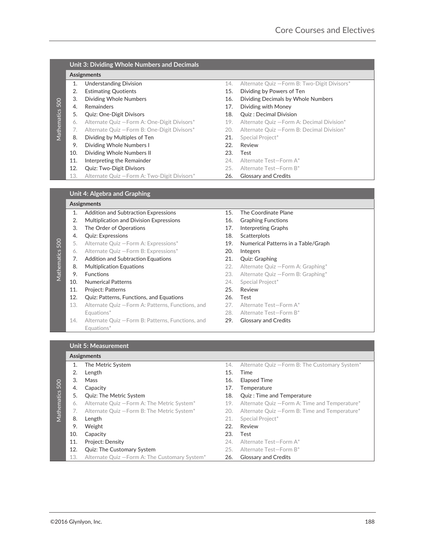|             |     | Unit 3: Dividing Whole Numbers and Decimals  |     |                                              |
|-------------|-----|----------------------------------------------|-----|----------------------------------------------|
|             |     | Assignments                                  |     |                                              |
|             | 1.  | <b>Understanding Division</b>                | 14. | Alternate Quiz - Form B: Two-Digit Divisors* |
|             | 2.  | <b>Estimating Quotients</b>                  | 15. | Dividing by Powers of Ten                    |
|             | 3.  | Dividing Whole Numbers                       | 16. | Dividing Decimals by Whole Numbers           |
| 500         | 4.  | <b>Remainders</b>                            | 17. | Dividing with Money                          |
| Mathematics | 5.  | <b>Quiz: One-Digit Divisors</b>              | 18. | Quiz: Decimal Division                       |
|             | 6.  | Alternate Quiz - Form A: One-Digit Divisors* | 19. | Alternate Quiz - Form A: Decimal Division*   |
|             | 7.  | Alternate Quiz - Form B: One-Digit Divisors* | 20. | Alternate Quiz - Form B: Decimal Division*   |
|             | 8.  | Dividing by Multiples of Ten                 | 21. | Special Project*                             |
|             | 9.  | Dividing Whole Numbers I                     | 22. | Review                                       |
|             | 10. | Dividing Whole Numbers II                    | 23. | Test                                         |
|             | 11. | Interpreting the Remainder                   | 24. | Alternate Test-Form A*                       |
|             | 12. | <b>Quiz: Two-Digit Divisors</b>              | 25. | Alternate Test-Form B*                       |
|             | 13. | Alternate Quiz - Form A: Two-Digit Divisors* | 26. | <b>Glossary and Credits</b>                  |
|             |     |                                              |     |                                              |
|             |     | .<br>______                                  |     |                                              |

## **Unit 4: Algebra and Graphing**

# **Assignments-**

Mathematics 500

- 1. Addition and Subtraction Expressions 15. The Coordinate Plane 2. Multiplication and Division Expressions 16. Graphing Functions 3. The Order of Operations 2008 17. Interpreting Graphs 4. Quiz: Expressions 18. Scatterplots 5. Alternate Quiz - Form A: Expressions\* 19. Numerical Patterns in a Table/Graph 6. Alternate Quiz —Form B: Expressions\* 20. Integers 7. Addition and Subtraction Equations-8. Multiplication Equations 22. Alternate Quiz - Form A: Graphing\* **9.** Functions **23.** Alternate Quiz —Form B: Graphing\* 10. Numerical Patterns 24. Special Project\* 11. Project: Patterns 25. Review-12. Quiz: Patterns, Functions, and Equations 26. Test-13. Alternate Quiz - Form A: Patterns, Functions, and Equations\* 28. Alternate Test-Form B\* 14. Alternate Quiz - Form B: Patterns, Functions, and Equations\*
	-
	-
	-
	-
	-
	-
	- 21. Quiz: Graphing
	-
	-
	-
	-
	-
	- 27. Alternate Test—Form A\*
	-
	- 29. Glossary and Credits

#### **Unit 5: Measurement**

#### **Assignments-**

- Solar Monte Terms of the Choice of the Monte Choice is a function of the Choice of the Choice of the Choice of the Choice of the Choice of the Choice of the Choice of the Choice of the Choice of the Choice of the Choice o Mathematics 500 1. The Metric System **14.** Alternate Quiz – Form B: The Customary System<sup>\*</sup> 2. Length 2. Time 3. Mass 16. Elapsed Time 4. Capacity 17. Temperature 5. Quiz: The Metric System 18. Quiz : Time and Temperature 6. Alternate Quiz - Form A: The Metric System\* 19. Alternate Quiz - Form A: Time and Temperature\* 7. Alternate Quiz - Form B: The Metric System\* 20. Alternate Quiz - Form B: Time and Temperature\* 8. Length 21. Special Project\* 9. Weight **22. Review** 10. Capacity 23. Test 11. Project: Density- 24. Alternate Test—Form A\* 12. Quiz: The Customary System 25. Alternate Test-Form B\* 13. Alternate Quiz - Form A: The Customary System\* 26. Glossary and Credits
	-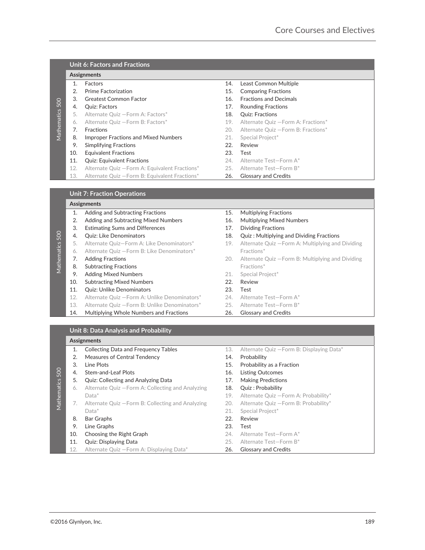|                 |                       | Unit 6: Factors and Fractions                  |     |                                     |  |  |
|-----------------|-----------------------|------------------------------------------------|-----|-------------------------------------|--|--|
|                 | <b>Assignments</b>    |                                                |     |                                     |  |  |
|                 | 1.                    | <b>Factors</b>                                 | 14. | Least Common Multiple               |  |  |
|                 | $\mathcal{D}_{\cdot}$ | <b>Prime Factorization</b>                     | 15. | <b>Comparing Fractions</b>          |  |  |
|                 | 3.                    | <b>Greatest Common Factor</b>                  | 16. | <b>Fractions and Decimals</b>       |  |  |
|                 | 4.                    | Quiz: Factors                                  | 17. | <b>Rounding Fractions</b>           |  |  |
|                 | 5.                    | Alternate Quiz - Form A: Factors*              | 18. | <b>Quiz: Fractions</b>              |  |  |
| Mathematics 500 | 6.                    | Alternate Quiz - Form B: Factors*              | 19. | Alternate Quiz - Form A: Fractions* |  |  |
|                 | 7.                    | <b>Fractions</b>                               | 20. | Alternate Quiz - Form B: Fractions* |  |  |
|                 | 8.                    | Improper Fractions and Mixed Numbers           | 21. | Special Project*                    |  |  |
|                 | 9.                    | <b>Simplifying Fractions</b>                   | 22. | Review                              |  |  |
|                 | 10.                   | <b>Equivalent Fractions</b>                    | 23. | Test                                |  |  |
|                 | 11.                   | <b>Quiz: Equivalent Fractions</b>              | 24. | Alternate Test-Form A*              |  |  |
|                 | 12.                   | Alternate Quiz - Form A: Equivalent Fractions* | 25. | Alternate Test-Form B*              |  |  |
|                 | 13.                   | Alternate Quiz - Form B: Equivalent Fractions* | 26. | <b>Glossary and Credits</b>         |  |  |

| <b>Assignments</b> |                                               |     |                                                   |  |  |
|--------------------|-----------------------------------------------|-----|---------------------------------------------------|--|--|
| 1.                 | Adding and Subtracting Fractions              | 15. | <b>Multiplying Fractions</b>                      |  |  |
| 2.                 | Adding and Subtracting Mixed Numbers          | 16. | <b>Multiplying Mixed Numbers</b>                  |  |  |
| 3.                 | <b>Estimating Sums and Differences</b>        | 17. | <b>Dividing Fractions</b>                         |  |  |
| 4.                 | <b>Quiz: Like Denominators</b>                | 18. | <b>Quiz: Multiplying and Dividing Fractions</b>   |  |  |
| 5.                 | Alternate Ouiz-Form A: Like Denominators*     | 19. | Alternate Quiz - Form A: Multiplying and Dividing |  |  |
| 6.                 | Alternate Quiz - Form B: Like Denominators*   |     | Fractions*                                        |  |  |
| 7.                 | <b>Adding Fractions</b>                       | 20. | Alternate Quiz - Form B: Multiplying and Dividing |  |  |
| 8.                 | <b>Subtracting Fractions</b>                  |     | Fractions*                                        |  |  |
| 9.                 | <b>Adding Mixed Numbers</b>                   | 21. | Special Project*                                  |  |  |
| 10.                | <b>Subtracting Mixed Numbers</b>              | 22. | Review                                            |  |  |
| 11.                | <b>Quiz: Unlike Denominators</b>              | 23. | Test                                              |  |  |
| 12.                | Alternate Quiz - Form A: Unlike Denominators* | 24. | Alternate Test-Form A*                            |  |  |
|                    |                                               |     | <b>Unit 7: Fraction Operations</b>                |  |  |

- 
- 14. Multiplying Whole Numbers and Fractions 26. Glossary and Credits
- 15. Multiplying Fractions
- 16. Multiplying Mixed Numbers
- 17. Dividing Fractions
- 18. Quiz : Multiplying and Dividing Fractions
- Fractions\*
- Fractions\*
- 21. Special Project\*
- 22. Review
- 23. Test
- 24. Alternate Test-Form A\*
- 13. Alternate Quiz Form B: Unlike Denominators\* 25. Alternate Test-Form B\*
	-

## **Unit 8: Data Analysis and Probability**

#### **Assignments-**

| 4.         |                                                                    |            |                                                       |
|------------|--------------------------------------------------------------------|------------|-------------------------------------------------------|
|            | Quiz: Factors                                                      | 17.        | Rounding Fractions                                    |
| 5.         | Alternate Quiz - Form A: Factors*                                  | 18.        | <b>Quiz: Fractions</b>                                |
| 6.         | Alternate Quiz - Form B: Factors*                                  | 19.        | Alternate Quiz - Form A: Fractions*                   |
| 7.         | Fractions                                                          | 20.        | Alternate Quiz - Form B: Fractions*                   |
| 8.         | Improper Fractions and Mixed Numbers                               | 21.        | Special Project*                                      |
| 9.         | <b>Simplifying Fractions</b>                                       | 22.        | Review                                                |
| 10.        | <b>Equivalent Fractions</b>                                        | 23.        | Test                                                  |
| 11.        | <b>Quiz: Equivalent Fractions</b>                                  | 24.        | Alternate Test-Form A*                                |
| 12.        | Alternate Quiz - Form A: Equivalent Fractions*                     | 25.        | Alternate Test-Form B*                                |
| 13.        | Alternate Quiz - Form B: Equivalent Fractions*                     | 26.        | <b>Glossary and Credits</b>                           |
|            | <b>Unit 7: Fraction Operations</b>                                 |            |                                                       |
|            | Assignments                                                        |            |                                                       |
| 1.         | Adding and Subtracting Fractions                                   | 15.        | <b>Multiplying Fractions</b>                          |
|            |                                                                    |            |                                                       |
| 2.         | Adding and Subtracting Mixed Numbers                               | 16.        | <b>Multiplying Mixed Numbers</b>                      |
| 3.         | <b>Estimating Sums and Differences</b>                             | 17.        | <b>Dividing Fractions</b>                             |
| 4.         | Quiz: Like Denominators                                            | 18.        | Quiz: Multiplying and Dividing Fractions              |
| 5.         | Alternate Quiz-Form A: Like Denominators*                          | 19.        | Alternate Quiz - Form A: Multiplying and Dividing     |
| 6.         | Alternate Quiz - Form B: Like Denominators*                        |            | Fractions*                                            |
| 7.         | <b>Adding Fractions</b>                                            | 20.        | Alternate Quiz - Form B: Multiplying and Dividing     |
| 8.         | <b>Subtracting Fractions</b>                                       |            | Fractions*                                            |
| 9.         | <b>Adding Mixed Numbers</b>                                        | 21.        | Special Project*                                      |
|            | <b>Subtracting Mixed Numbers</b>                                   | 22.        | Review                                                |
| 10.        |                                                                    |            |                                                       |
| 11.        | <b>Quiz: Unlike Denominators</b>                                   | 23.        | Test                                                  |
| 12.        | Alternate Quiz - Form A: Unlike Denominators*                      | 24.        | Alternate Test-Form A*                                |
| 13.        | Alternate Quiz - Form B: Unlike Denominators*                      | 25.        | Alternate Test-Form B*                                |
| 14.        | Multiplying Whole Numbers and Fractions                            | 26.        | <b>Glossary and Credits</b>                           |
|            |                                                                    |            |                                                       |
|            | Unit 8: Data Analysis and Probability                              |            |                                                       |
|            | Assignments                                                        |            |                                                       |
| 1.         | <b>Collecting Data and Frequency Tables</b>                        | 13.        | Alternate Quiz - Form B: Displaying Data*             |
| 2.         | <b>Measures of Central Tendency</b>                                | 14.        | Probability                                           |
| 3.         | Line Plots                                                         | 15.        | Probability as a Fraction                             |
| 4.         | <b>Stem-and-Leaf Plots</b>                                         | 16.        | <b>Listing Outcomes</b>                               |
| 5.         |                                                                    | 17.        |                                                       |
| 6.         | Quiz: Collecting and Analyzing Data                                | 18.        | <b>Making Predictions</b>                             |
|            | Alternate Quiz - Form A: Collecting and Analyzing<br>Data*         | 19.        | Quiz: Probability                                     |
|            |                                                                    |            | Alternate Quiz - Form A: Probability*                 |
| 7.         | Alternate Quiz - Form B: Collecting and Analyzing                  | 20.        | Alternate Quiz - Form B: Probability*                 |
|            | Data*                                                              | 21.        | Special Project*                                      |
| 8.         | <b>Bar Graphs</b>                                                  | 22.        | Review                                                |
| 9.         | Line Graphs                                                        | 23.        | Test                                                  |
| 10.        | Choosing the Right Graph                                           | 24.        | Alternate Test-Form A*                                |
| 11.<br>12. | Quiz: Displaying Data<br>Alternate Quiz - Form A: Displaying Data* | 25.<br>26. | Alternate Test-Form B*<br><b>Glossary and Credits</b> |